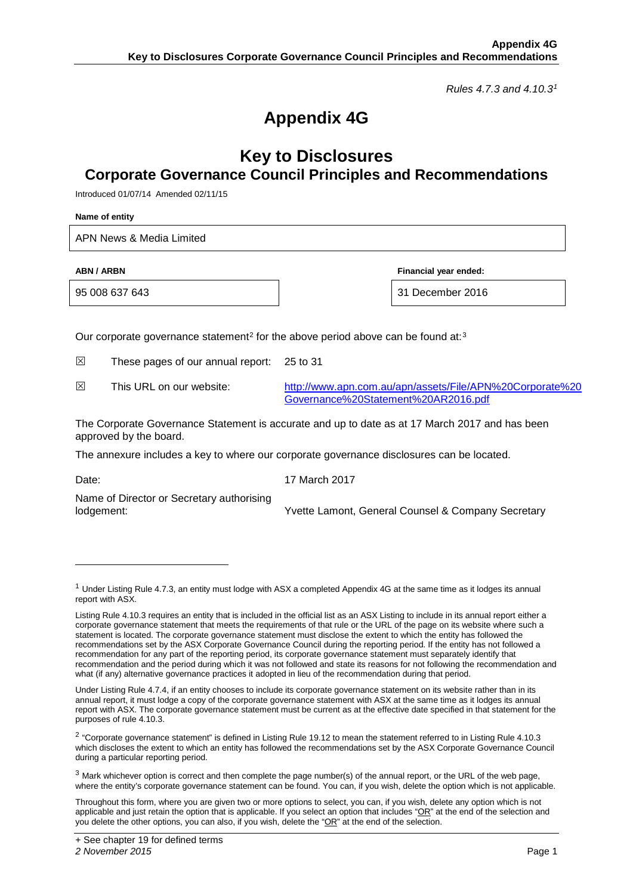*Rules 4.7.3 and 4.10.3[1](#page-0-0)*

# **Appendix 4G**

## **Key to Disclosures Corporate Governance Council Principles and Recommendations**

Introduced 01/07/14 Amended 02/11/15

**Name of entity**

APN News & Media Limited

**ABN / ARBN Financial year ended:**

95 008 637 643 31 December 2016

Our corporate governance statement<sup>[2](#page-0-1)</sup> for the above period above can be found at:<sup>[3](#page-0-2)</sup>

 $\boxtimes$  These pages of our annual report: 25 to 31

⊠ This URL on our website: [http://www.apn.com.au/apn/assets/File/APN%20Corporate%20](http://www.apn.com.au/apn/assets/File/APN%20Corporate%20Governance%20Statement%20AR2016.pdf) [Governance%20Statement%20AR2016.pdf](http://www.apn.com.au/apn/assets/File/APN%20Corporate%20Governance%20Statement%20AR2016.pdf)

The Corporate Governance Statement is accurate and up to date as at 17 March 2017 and has been approved by the board.

The annexure includes a key to where our corporate governance disclosures can be located.

-

Date: 17 March 2017

Name of Director or Secretary authorising

lodgement: Yvette Lamont, General Counsel & Company Secretary

<span id="page-0-0"></span> $1$  Under Listing Rule 4.7.3, an entity must lodge with ASX a completed Appendix 4G at the same time as it lodges its annual report with ASX.

Listing Rule 4.10.3 requires an entity that is included in the official list as an ASX Listing to include in its annual report either a corporate governance statement that meets the requirements of that rule or the URL of the page on its website where such a statement is located. The corporate governance statement must disclose the extent to which the entity has followed the recommendations set by the ASX Corporate Governance Council during the reporting period. If the entity has not followed a recommendation for any part of the reporting period, its corporate governance statement must separately identify that recommendation and the period during which it was not followed and state its reasons for not following the recommendation and what (if any) alternative governance practices it adopted in lieu of the recommendation during that period.

Under Listing Rule 4.7.4, if an entity chooses to include its corporate governance statement on its website rather than in its annual report, it must lodge a copy of the corporate governance statement with ASX at the same time as it lodges its annual report with ASX. The corporate governance statement must be current as at the effective date specified in that statement for the purposes of rule 4.10.3.

<span id="page-0-1"></span><sup>2</sup> "Corporate governance statement" is defined in Listing Rule 19.12 to mean the statement referred to in Listing Rule 4.10.3 which discloses the extent to which an entity has followed the recommendations set by the ASX Corporate Governance Council during a particular reporting period.

<span id="page-0-2"></span> $3$  Mark whichever option is correct and then complete the page number(s) of the annual report, or the URL of the web page, where the entity's corporate governance statement can be found. You can, if you wish, delete the option which is not applicable.

Throughout this form, where you are given two or more options to select, you can, if you wish, delete any option which is not applicable and just retain the option that is applicable. If you select an option that includes "OR" at the end of the selection and you delete the other options, you can also, if you wish, delete the "OR" at the end of the selection.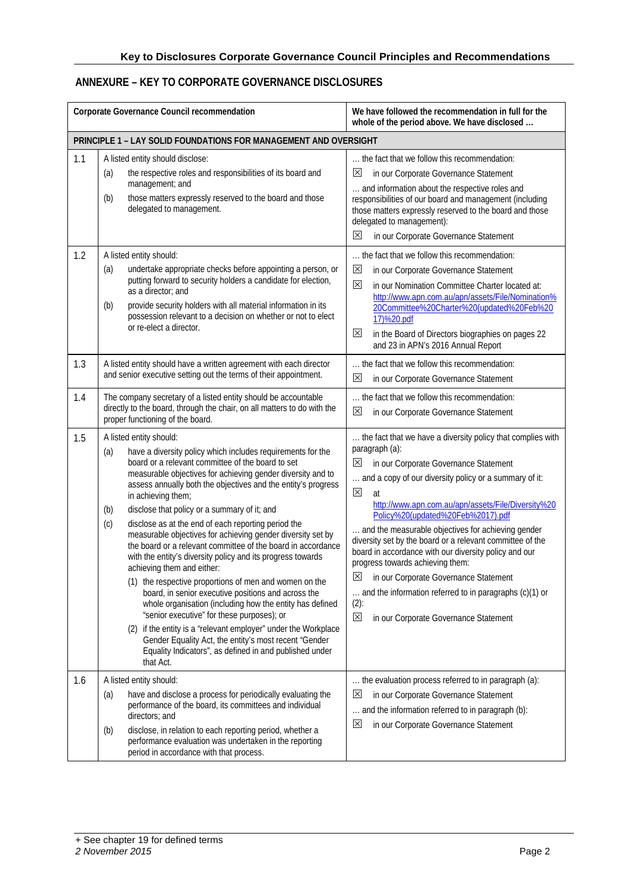### **ANNEXURE – KEY TO CORPORATE GOVERNANCE DISCLOSURES**

| Corporate Governance Council recommendation                      |                                                                                                                                                                                                                                                                                                                                                                                                                                                                                                                                                                                                                                                                                                                                                                                                                                                                                                                                                                                                                                                                                         | We have followed the recommendation in full for the<br>whole of the period above. We have disclosed                                                                                                                                                                                                                                                                                                                                                                                                                                                                                                                                                                                  |  |  |
|------------------------------------------------------------------|-----------------------------------------------------------------------------------------------------------------------------------------------------------------------------------------------------------------------------------------------------------------------------------------------------------------------------------------------------------------------------------------------------------------------------------------------------------------------------------------------------------------------------------------------------------------------------------------------------------------------------------------------------------------------------------------------------------------------------------------------------------------------------------------------------------------------------------------------------------------------------------------------------------------------------------------------------------------------------------------------------------------------------------------------------------------------------------------|--------------------------------------------------------------------------------------------------------------------------------------------------------------------------------------------------------------------------------------------------------------------------------------------------------------------------------------------------------------------------------------------------------------------------------------------------------------------------------------------------------------------------------------------------------------------------------------------------------------------------------------------------------------------------------------|--|--|
| PRINCIPLE 1 - LAY SOLID FOUNDATIONS FOR MANAGEMENT AND OVERSIGHT |                                                                                                                                                                                                                                                                                                                                                                                                                                                                                                                                                                                                                                                                                                                                                                                                                                                                                                                                                                                                                                                                                         |                                                                                                                                                                                                                                                                                                                                                                                                                                                                                                                                                                                                                                                                                      |  |  |
| 1.1                                                              | A listed entity should disclose:<br>the respective roles and responsibilities of its board and<br>(a)<br>management; and<br>(b)<br>those matters expressly reserved to the board and those<br>delegated to management.                                                                                                                                                                                                                                                                                                                                                                                                                                                                                                                                                                                                                                                                                                                                                                                                                                                                  | the fact that we follow this recommendation:<br>⊠<br>in our Corporate Governance Statement<br>and information about the respective roles and<br>responsibilities of our board and management (including<br>those matters expressly reserved to the board and those<br>delegated to management):<br>⊠<br>in our Corporate Governance Statement                                                                                                                                                                                                                                                                                                                                        |  |  |
| 1.2                                                              | A listed entity should:<br>undertake appropriate checks before appointing a person, or<br>(a)<br>putting forward to security holders a candidate for election,<br>as a director; and<br>provide security holders with all material information in its<br>(b)<br>possession relevant to a decision on whether or not to elect<br>or re-elect a director.                                                                                                                                                                                                                                                                                                                                                                                                                                                                                                                                                                                                                                                                                                                                 | the fact that we follow this recommendation:<br>⊠<br>in our Corporate Governance Statement<br>区<br>in our Nomination Committee Charter located at:<br>http://www.apn.com.au/apn/assets/File/Nomination%<br>20Committee%20Charter%20(updated%20Feb%20<br>17)%20.pdf<br>⊠<br>in the Board of Directors biographies on pages 22<br>and 23 in APN's 2016 Annual Report                                                                                                                                                                                                                                                                                                                   |  |  |
| 1.3                                                              | A listed entity should have a written agreement with each director<br>and senior executive setting out the terms of their appointment.                                                                                                                                                                                                                                                                                                                                                                                                                                                                                                                                                                                                                                                                                                                                                                                                                                                                                                                                                  | the fact that we follow this recommendation:<br>区<br>in our Corporate Governance Statement                                                                                                                                                                                                                                                                                                                                                                                                                                                                                                                                                                                           |  |  |
| 1.4                                                              | The company secretary of a listed entity should be accountable<br>directly to the board, through the chair, on all matters to do with the<br>proper functioning of the board.                                                                                                                                                                                                                                                                                                                                                                                                                                                                                                                                                                                                                                                                                                                                                                                                                                                                                                           | the fact that we follow this recommendation:<br>⊠<br>in our Corporate Governance Statement                                                                                                                                                                                                                                                                                                                                                                                                                                                                                                                                                                                           |  |  |
| 1.5                                                              | A listed entity should:<br>(a)<br>have a diversity policy which includes requirements for the<br>board or a relevant committee of the board to set<br>measurable objectives for achieving gender diversity and to<br>assess annually both the objectives and the entity's progress<br>in achieving them;<br>disclose that policy or a summary of it; and<br>(b)<br>disclose as at the end of each reporting period the<br>(c)<br>measurable objectives for achieving gender diversity set by<br>the board or a relevant committee of the board in accordance<br>with the entity's diversity policy and its progress towards<br>achieving them and either:<br>(1) the respective proportions of men and women on the<br>board, in senior executive positions and across the<br>whole organisation (including how the entity has defined<br>"senior executive" for these purposes); or<br>(2) if the entity is a "relevant employer" under the Workplace<br>Gender Equality Act, the entity's most recent "Gender<br>Equality Indicators", as defined in and published under<br>that Act. | the fact that we have a diversity policy that complies with<br>paragraph (a):<br>⊠<br>in our Corporate Governance Statement<br>and a copy of our diversity policy or a summary of it:<br>⊠<br>at<br>http://www.apn.com.au/apn/assets/File/Diversity%20<br>Policy%20(updated%20Feb%2017).pdf<br>and the measurable objectives for achieving gender<br>diversity set by the board or a relevant committee of the<br>board in accordance with our diversity policy and our<br>progress towards achieving them:<br>$\boxtimes$ in our Corporate Governance Statement<br>and the information referred to in paragraphs (c)(1) or<br>$(2)$ :<br>区<br>in our Corporate Governance Statement |  |  |
| 1.6                                                              | A listed entity should:<br>have and disclose a process for periodically evaluating the<br>(a)<br>performance of the board, its committees and individual<br>directors; and<br>disclose, in relation to each reporting period, whether a<br>(b)<br>performance evaluation was undertaken in the reporting<br>period in accordance with that process.                                                                                                                                                                                                                                                                                                                                                                                                                                                                                                                                                                                                                                                                                                                                     | the evaluation process referred to in paragraph (a):<br>$\times$<br>in our Corporate Governance Statement<br>and the information referred to in paragraph (b):<br>$\boxtimes$<br>in our Corporate Governance Statement                                                                                                                                                                                                                                                                                                                                                                                                                                                               |  |  |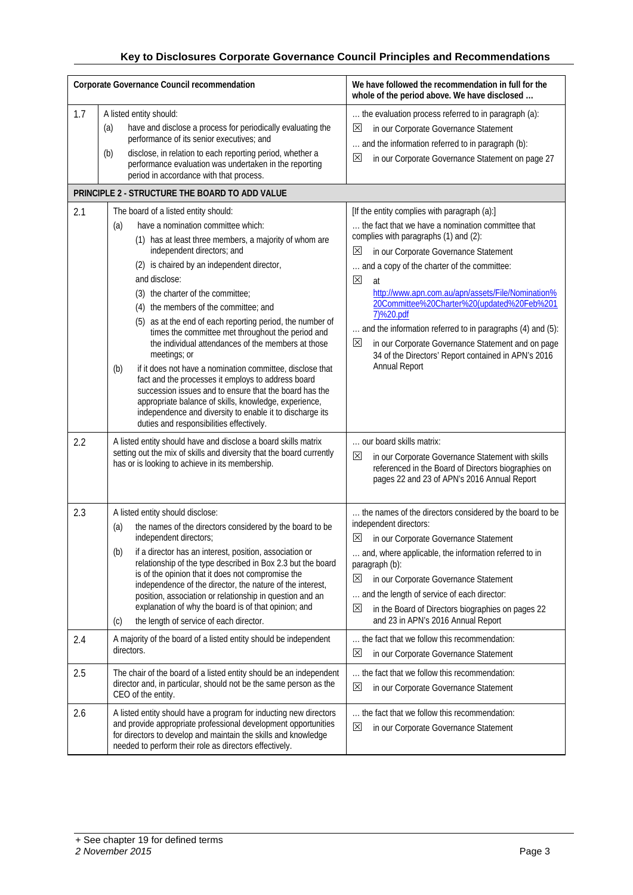| Corporate Governance Council recommendation |                                                                                                                                                                                                                                                                                                                                                                                                                                                                                                                                                                                                                                                                                                                                                                                                                                                                     | We have followed the recommendation in full for the<br>whole of the period above. We have disclosed                                                                                                                                                                                                                                                                                                                                                                                                                                                                                               |
|---------------------------------------------|---------------------------------------------------------------------------------------------------------------------------------------------------------------------------------------------------------------------------------------------------------------------------------------------------------------------------------------------------------------------------------------------------------------------------------------------------------------------------------------------------------------------------------------------------------------------------------------------------------------------------------------------------------------------------------------------------------------------------------------------------------------------------------------------------------------------------------------------------------------------|---------------------------------------------------------------------------------------------------------------------------------------------------------------------------------------------------------------------------------------------------------------------------------------------------------------------------------------------------------------------------------------------------------------------------------------------------------------------------------------------------------------------------------------------------------------------------------------------------|
| 1.7                                         | A listed entity should:<br>have and disclose a process for periodically evaluating the<br>(a)<br>performance of its senior executives; and<br>disclose, in relation to each reporting period, whether a<br>(b)<br>performance evaluation was undertaken in the reporting<br>period in accordance with that process.<br>PRINCIPLE 2 - STRUCTURE THE BOARD TO ADD VALUE                                                                                                                                                                                                                                                                                                                                                                                                                                                                                               | the evaluation process referred to in paragraph (a):<br>$\mathsf{X}$<br>in our Corporate Governance Statement<br>and the information referred to in paragraph (b):<br>×<br>in our Corporate Governance Statement on page 27                                                                                                                                                                                                                                                                                                                                                                       |
|                                             |                                                                                                                                                                                                                                                                                                                                                                                                                                                                                                                                                                                                                                                                                                                                                                                                                                                                     |                                                                                                                                                                                                                                                                                                                                                                                                                                                                                                                                                                                                   |
| 2.1                                         | The board of a listed entity should:<br>have a nomination committee which:<br>(a)<br>(1) has at least three members, a majority of whom are<br>independent directors; and<br>(2) is chaired by an independent director,<br>and disclose:<br>(3) the charter of the committee;<br>(4) the members of the committee; and<br>(5) as at the end of each reporting period, the number of<br>times the committee met throughout the period and<br>the individual attendances of the members at those<br>meetings; or<br>if it does not have a nomination committee, disclose that<br>(b)<br>fact and the processes it employs to address board<br>succession issues and to ensure that the board has the<br>appropriate balance of skills, knowledge, experience,<br>independence and diversity to enable it to discharge its<br>duties and responsibilities effectively. | [If the entity complies with paragraph (a):]<br>the fact that we have a nomination committee that<br>complies with paragraphs (1) and (2):<br>$\mathsf{X}$<br>in our Corporate Governance Statement<br>and a copy of the charter of the committee:<br>$\boxtimes$<br>at<br>http://www.apn.com.au/apn/assets/File/Nomination%<br>20Committee%20Charter%20(updated%20Feb%201<br>7)%20.pdf<br>and the information referred to in paragraphs (4) and (5):<br>$\boxtimes$<br>in our Corporate Governance Statement and on page<br>34 of the Directors' Report contained in APN's 2016<br>Annual Report |
| 2.2                                         | A listed entity should have and disclose a board skills matrix<br>setting out the mix of skills and diversity that the board currently<br>has or is looking to achieve in its membership.                                                                                                                                                                                                                                                                                                                                                                                                                                                                                                                                                                                                                                                                           | our board skills matrix:<br>⊠<br>in our Corporate Governance Statement with skills<br>referenced in the Board of Directors biographies on<br>pages 22 and 23 of APN's 2016 Annual Report                                                                                                                                                                                                                                                                                                                                                                                                          |
| 2.3                                         | A listed entity should disclose:<br>the names of the directors considered by the board to be<br>(a)<br>independent directors;<br>(b) if a director has an interest, position, association or<br>relationship of the type described in Box 2.3 but the board<br>is of the opinion that it does not compromise the<br>independence of the director, the nature of the interest,<br>position, association or relationship in question and an<br>explanation of why the board is of that opinion; and<br>the length of service of each director.<br>(c)                                                                                                                                                                                                                                                                                                                 | the names of the directors considered by the board to be<br>independent directors:<br>⊠<br>in our Corporate Governance Statement<br>and, where applicable, the information referred to in<br>paragraph (b):<br>×<br>in our Corporate Governance Statement<br>and the length of service of each director:<br>⊠<br>in the Board of Directors biographies on pages 22<br>and 23 in APN's 2016 Annual Report                                                                                                                                                                                          |
| 2.4                                         | A majority of the board of a listed entity should be independent<br>directors.                                                                                                                                                                                                                                                                                                                                                                                                                                                                                                                                                                                                                                                                                                                                                                                      | the fact that we follow this recommendation:<br>$\mathsf{X}% _{0}$<br>in our Corporate Governance Statement                                                                                                                                                                                                                                                                                                                                                                                                                                                                                       |
| 2.5                                         | The chair of the board of a listed entity should be an independent<br>director and, in particular, should not be the same person as the<br>CEO of the entity.                                                                                                                                                                                                                                                                                                                                                                                                                                                                                                                                                                                                                                                                                                       | the fact that we follow this recommendation:<br>⊠<br>in our Corporate Governance Statement                                                                                                                                                                                                                                                                                                                                                                                                                                                                                                        |
| 2.6                                         | A listed entity should have a program for inducting new directors<br>and provide appropriate professional development opportunities<br>for directors to develop and maintain the skills and knowledge<br>needed to perform their role as directors effectively.                                                                                                                                                                                                                                                                                                                                                                                                                                                                                                                                                                                                     | the fact that we follow this recommendation:<br>⊠<br>in our Corporate Governance Statement                                                                                                                                                                                                                                                                                                                                                                                                                                                                                                        |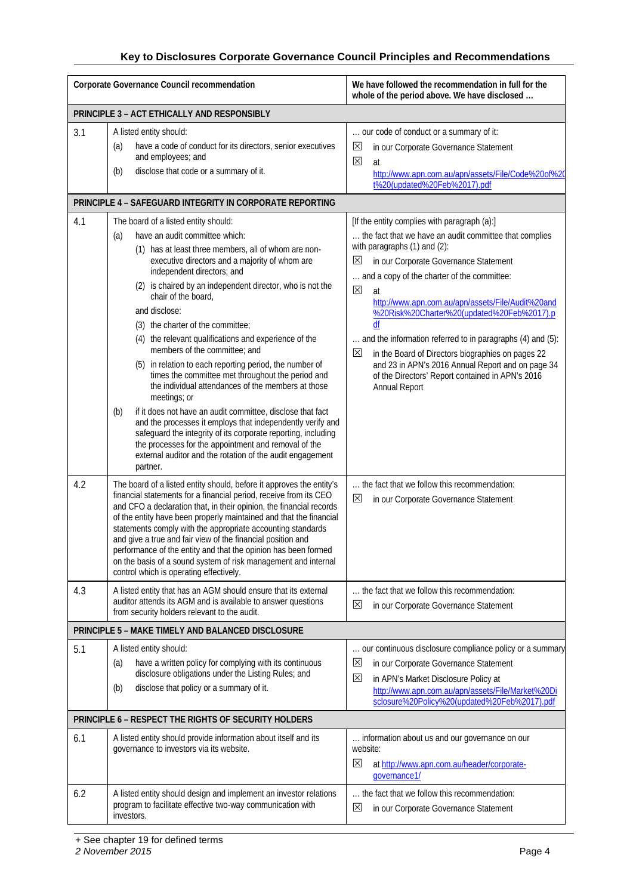| Corporate Governance Council recommendation          |                                                                                                                                                                                                                                                                                                                                                                                                                                                                                                                                                                                                                                                                                                                      | We have followed the recommendation in full for the<br>whole of the period above. We have disclosed                                                                                                                                                                                                                                                                                                                                                                                                                                                                                                                                |  |
|------------------------------------------------------|----------------------------------------------------------------------------------------------------------------------------------------------------------------------------------------------------------------------------------------------------------------------------------------------------------------------------------------------------------------------------------------------------------------------------------------------------------------------------------------------------------------------------------------------------------------------------------------------------------------------------------------------------------------------------------------------------------------------|------------------------------------------------------------------------------------------------------------------------------------------------------------------------------------------------------------------------------------------------------------------------------------------------------------------------------------------------------------------------------------------------------------------------------------------------------------------------------------------------------------------------------------------------------------------------------------------------------------------------------------|--|
|                                                      | PRINCIPLE 3 - ACT ETHICALLY AND RESPONSIBLY                                                                                                                                                                                                                                                                                                                                                                                                                                                                                                                                                                                                                                                                          |                                                                                                                                                                                                                                                                                                                                                                                                                                                                                                                                                                                                                                    |  |
| 3.1                                                  | A listed entity should:<br>have a code of conduct for its directors, senior executives<br>(a)<br>and employees; and<br>disclose that code or a summary of it.<br>(b)                                                                                                                                                                                                                                                                                                                                                                                                                                                                                                                                                 | our code of conduct or a summary of it:<br>$\mathbb{X}$<br>in our Corporate Governance Statement<br>⊠<br>at<br>http://www.apn.com.au/apn/assets/File/Code%20of%20<br>t%20(updated%20Feb%2017).pdf                                                                                                                                                                                                                                                                                                                                                                                                                                  |  |
|                                                      | <b>PRINCIPLE 4 - SAFEGUARD INTEGRITY IN CORPORATE REPORTING</b>                                                                                                                                                                                                                                                                                                                                                                                                                                                                                                                                                                                                                                                      |                                                                                                                                                                                                                                                                                                                                                                                                                                                                                                                                                                                                                                    |  |
| 4.1                                                  | The board of a listed entity should:<br>have an audit committee which:<br>(a)<br>(1) has at least three members, all of whom are non-<br>executive directors and a majority of whom are<br>independent directors; and<br>(2) is chaired by an independent director, who is not the<br>chair of the board,<br>and disclose:<br>(3) the charter of the committee;<br>(4) the relevant qualifications and experience of the<br>members of the committee; and<br>(5) in relation to each reporting period, the number of<br>times the committee met throughout the period and<br>the individual attendances of the members at those<br>meetings; or<br>if it does not have an audit committee, disclose that fact<br>(b) | [If the entity complies with paragraph (a):]<br>the fact that we have an audit committee that complies<br>with paragraphs (1) and (2):<br>in our Corporate Governance Statement<br>$\mathbb{X}$<br>and a copy of the charter of the committee:<br>$\boxtimes$<br>at<br>http://www.apn.com.au/apn/assets/File/Audit%20and<br>%20Risk%20Charter%20(updated%20Feb%2017).p<br>and the information referred to in paragraphs (4) and (5):<br>$\boxtimes$<br>in the Board of Directors biographies on pages 22<br>and 23 in APN's 2016 Annual Report and on page 34<br>of the Directors' Report contained in APN's 2016<br>Annual Report |  |
|                                                      | and the processes it employs that independently verify and<br>safeguard the integrity of its corporate reporting, including<br>the processes for the appointment and removal of the<br>external auditor and the rotation of the audit engagement<br>partner.                                                                                                                                                                                                                                                                                                                                                                                                                                                         |                                                                                                                                                                                                                                                                                                                                                                                                                                                                                                                                                                                                                                    |  |
| 4.2                                                  | The board of a listed entity should, before it approves the entity's<br>financial statements for a financial period, receive from its CEO<br>and CFO a declaration that, in their opinion, the financial records<br>of the entity have been properly maintained and that the financial<br>statements comply with the appropriate accounting standards<br>and give a true and fair view of the financial position and<br>performance of the entity and that the opinion has been formed<br>on the basis of a sound system of risk management and internal<br>control which is operating effectively.                                                                                                                  | the fact that we follow this recommendation:<br>$\boxtimes$<br>in our Corporate Governance Statement                                                                                                                                                                                                                                                                                                                                                                                                                                                                                                                               |  |
| 4.3                                                  | A listed entity that has an AGM should ensure that its external<br>auditor attends its AGM and is available to answer questions<br>from security holders relevant to the audit.                                                                                                                                                                                                                                                                                                                                                                                                                                                                                                                                      | the fact that we follow this recommendation:<br>$\times$<br>in our Corporate Governance Statement                                                                                                                                                                                                                                                                                                                                                                                                                                                                                                                                  |  |
|                                                      | PRINCIPLE 5 - MAKE TIMELY AND BALANCED DISCLOSURE                                                                                                                                                                                                                                                                                                                                                                                                                                                                                                                                                                                                                                                                    |                                                                                                                                                                                                                                                                                                                                                                                                                                                                                                                                                                                                                                    |  |
| 5.1                                                  | A listed entity should:<br>have a written policy for complying with its continuous<br>(a)<br>disclosure obligations under the Listing Rules; and<br>disclose that policy or a summary of it.<br>(b)                                                                                                                                                                                                                                                                                                                                                                                                                                                                                                                  | our continuous disclosure compliance policy or a summary<br>$\boxtimes$<br>in our Corporate Governance Statement<br>X<br>in APN's Market Disclosure Policy at<br>http://www.apn.com.au/apn/assets/File/Market%20Di<br>sclosure%20Policy%20(updated%20Feb%2017).pdf                                                                                                                                                                                                                                                                                                                                                                 |  |
| PRINCIPLE 6 - RESPECT THE RIGHTS OF SECURITY HOLDERS |                                                                                                                                                                                                                                                                                                                                                                                                                                                                                                                                                                                                                                                                                                                      |                                                                                                                                                                                                                                                                                                                                                                                                                                                                                                                                                                                                                                    |  |
| 6.1                                                  | A listed entity should provide information about itself and its<br>governance to investors via its website.                                                                                                                                                                                                                                                                                                                                                                                                                                                                                                                                                                                                          | information about us and our governance on our<br>website:<br>⊠<br>at http://www.apn.com.au/header/corporate-<br>governance1/                                                                                                                                                                                                                                                                                                                                                                                                                                                                                                      |  |
| 6.2                                                  | A listed entity should design and implement an investor relations<br>program to facilitate effective two-way communication with<br>investors.                                                                                                                                                                                                                                                                                                                                                                                                                                                                                                                                                                        | the fact that we follow this recommendation:<br>$\mathsf{X}% _{0}$<br>in our Corporate Governance Statement                                                                                                                                                                                                                                                                                                                                                                                                                                                                                                                        |  |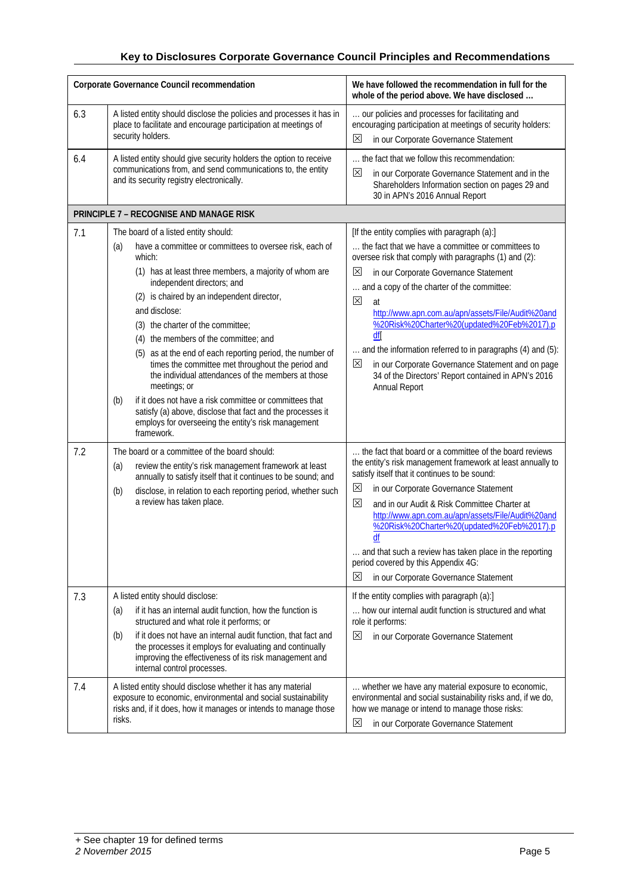|            | Corporate Governance Council recommendation                                                                                                                                                                                                                                                                                                                                                                                                                                                                                                                                                                                                                                                                                          | We have followed the recommendation in full for the<br>whole of the period above. We have disclosed                                                                                                                                                                                                                                                                                                                                                                                                                                                                                                         |
|------------|--------------------------------------------------------------------------------------------------------------------------------------------------------------------------------------------------------------------------------------------------------------------------------------------------------------------------------------------------------------------------------------------------------------------------------------------------------------------------------------------------------------------------------------------------------------------------------------------------------------------------------------------------------------------------------------------------------------------------------------|-------------------------------------------------------------------------------------------------------------------------------------------------------------------------------------------------------------------------------------------------------------------------------------------------------------------------------------------------------------------------------------------------------------------------------------------------------------------------------------------------------------------------------------------------------------------------------------------------------------|
| 6.3        | A listed entity should disclose the policies and processes it has in<br>place to facilitate and encourage participation at meetings of<br>security holders.                                                                                                                                                                                                                                                                                                                                                                                                                                                                                                                                                                          | our policies and processes for facilitating and<br>encouraging participation at meetings of security holders:<br>⊠<br>in our Corporate Governance Statement                                                                                                                                                                                                                                                                                                                                                                                                                                                 |
| 6.4        | A listed entity should give security holders the option to receive<br>communications from, and send communications to, the entity<br>and its security registry electronically.                                                                                                                                                                                                                                                                                                                                                                                                                                                                                                                                                       | the fact that we follow this recommendation:<br>×<br>in our Corporate Governance Statement and in the<br>Shareholders Information section on pages 29 and<br>30 in APN's 2016 Annual Report                                                                                                                                                                                                                                                                                                                                                                                                                 |
|            | PRINCIPLE 7 - RECOGNISE AND MANAGE RISK                                                                                                                                                                                                                                                                                                                                                                                                                                                                                                                                                                                                                                                                                              |                                                                                                                                                                                                                                                                                                                                                                                                                                                                                                                                                                                                             |
| 7.1        | The board of a listed entity should:<br>have a committee or committees to oversee risk, each of<br>(a)<br>which:<br>(1) has at least three members, a majority of whom are<br>independent directors; and<br>(2) is chaired by an independent director,<br>and disclose:<br>(3) the charter of the committee;<br>(4) the members of the committee; and<br>(5) as at the end of each reporting period, the number of<br>times the committee met throughout the period and<br>the individual attendances of the members at those<br>meetings; or<br>if it does not have a risk committee or committees that<br>(b)<br>satisfy (a) above, disclose that fact and the processes it<br>employs for overseeing the entity's risk management | [If the entity complies with paragraph (a):]<br>the fact that we have a committee or committees to<br>oversee risk that comply with paragraphs (1) and (2):<br>$\mathsf{X}$<br>in our Corporate Governance Statement<br>and a copy of the charter of the committee:<br>$\boxtimes$<br>at<br>http://www.apn.com.au/apn/assets/File/Audit%20and<br>%20Risk%20Charter%20(updated%20Feb%2017).p<br>df<br>and the information referred to in paragraphs (4) and (5):<br>$\boxtimes$<br>in our Corporate Governance Statement and on page<br>34 of the Directors' Report contained in APN's 2016<br>Annual Report |
| 7.2        | framework.<br>The board or a committee of the board should:<br>review the entity's risk management framework at least<br>(a)<br>annually to satisfy itself that it continues to be sound; and<br>disclose, in relation to each reporting period, whether such<br>(b)<br>a review has taken place.                                                                                                                                                                                                                                                                                                                                                                                                                                    | the fact that board or a committee of the board reviews<br>the entity's risk management framework at least annually to<br>satisfy itself that it continues to be sound:<br>区<br>in our Corporate Governance Statement<br>区<br>and in our Audit & Risk Committee Charter at<br>http://www.apn.com.au/apn/assets/File/Audit%20and<br>%20Risk%20Charter%20(updated%20Feb%2017).p<br>df<br>and that such a review has taken place in the reporting<br>period covered by this Appendix 4G:<br>$\mathbb{X}$<br>in our Corporate Governance Statement                                                              |
| 7.3<br>7.4 | A listed entity should disclose:<br>if it has an internal audit function, how the function is<br>(a)<br>structured and what role it performs; or<br>if it does not have an internal audit function, that fact and<br>(b)<br>the processes it employs for evaluating and continually<br>improving the effectiveness of its risk management and<br>internal control processes.<br>A listed entity should disclose whether it has any material<br>exposure to economic, environmental and social sustainability<br>risks and, if it does, how it manages or intends to manage those<br>risks.                                                                                                                                           | If the entity complies with paragraph (a):]<br>how our internal audit function is structured and what<br>role it performs:<br>in our Corporate Governance Statement<br>⊠<br>whether we have any material exposure to economic,<br>environmental and social sustainability risks and, if we do,<br>how we manage or intend to manage those risks:<br>$\mathbb{X}$<br>in our Corporate Governance Statement                                                                                                                                                                                                   |